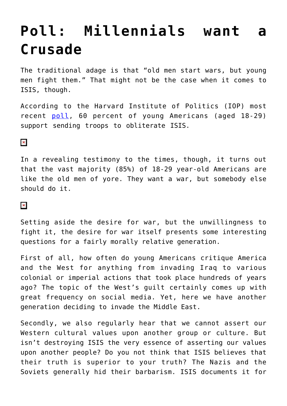## **[Poll: Millennials want a](https://intellectualtakeout.org/2015/12/poll-millennials-want-a-crusade/) [Crusade](https://intellectualtakeout.org/2015/12/poll-millennials-want-a-crusade/)**

The traditional adage is that "old men start wars, but young men fight them." That might not be the case when it comes to ISIS, though.

According to the Harvard Institute of Politics (IOP) most recent [poll](http://www.iop.harvard.edu/sites/default/files_new/pictures/151208_Harvard%20IOP%20Fall%202015%20Report.pdf), 60 percent of young Americans (aged 18-29) support sending troops to obliterate ISIS.

## $\pmb{\times}$

In a revealing testimony to the times, though, it turns out that the vast majority (85%) of 18-29 year-old Americans are like the old men of yore. They want a war, but somebody else should do it.

## $\pmb{\times}$

Setting aside the desire for war, but the unwillingness to fight it, the desire for war itself presents some interesting questions for a fairly morally relative generation.

First of all, how often do young Americans critique America and the West for anything from invading Iraq to various colonial or imperial actions that took place hundreds of years ago? The topic of the West's guilt certainly comes up with great frequency on social media. Yet, here we have another generation deciding to invade the Middle East.

Secondly, we also regularly hear that we cannot assert our Western cultural values upon another group or culture. But isn't destroying ISIS the very essence of asserting our values upon another people? Do you not think that ISIS believes that their truth is superior to your truth? The Nazis and the Soviets generally hid their barbarism. ISIS documents it for